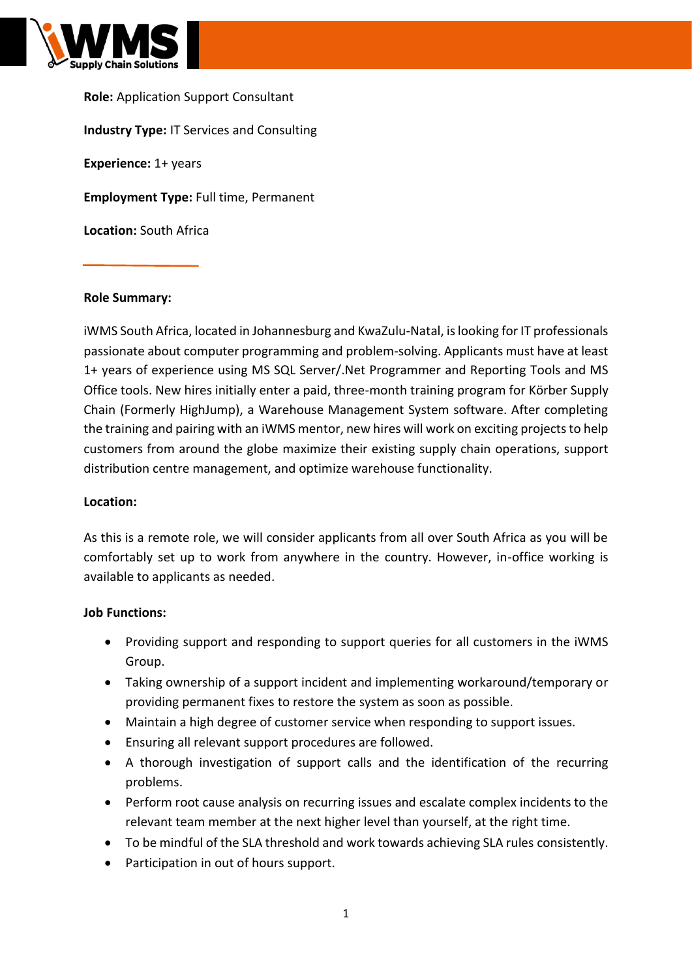

**Role:** Application Support Consultant **Industry Type:** IT Services and Consulting **Experience:** 1+ years **Employment Type:** Full time, Permanent **Location:** South Africa

### **Role Summary:**

iWMS South Africa, located in Johannesburg and KwaZulu-Natal, is looking for IT professionals passionate about computer programming and problem-solving. Applicants must have at least 1+ years of experience using MS SQL Server/.Net Programmer and Reporting Tools and MS Office tools. New hires initially enter a paid, three-month training program for Körber Supply Chain (Formerly HighJump), a Warehouse Management System software. After completing the training and pairing with an iWMS mentor, new hires will work on exciting projects to help customers from around the globe maximize their existing supply chain operations, support distribution centre management, and optimize warehouse functionality.

#### **Location:**

As this is a remote role, we will consider applicants from all over South Africa as you will be comfortably set up to work from anywhere in the country. However, in-office working is available to applicants as needed.

### **Job Functions:**

- Providing support and responding to support queries for all customers in the iWMS Group.
- Taking ownership of a support incident and implementing workaround/temporary or providing permanent fixes to restore the system as soon as possible.
- Maintain a high degree of customer service when responding to support issues.
- Ensuring all relevant support procedures are followed.
- A thorough investigation of support calls and the identification of the recurring problems.
- Perform root cause analysis on recurring issues and escalate complex incidents to the relevant team member at the next higher level than yourself, at the right time.
- To be mindful of the SLA threshold and work towards achieving SLA rules consistently.
- Participation in out of hours support.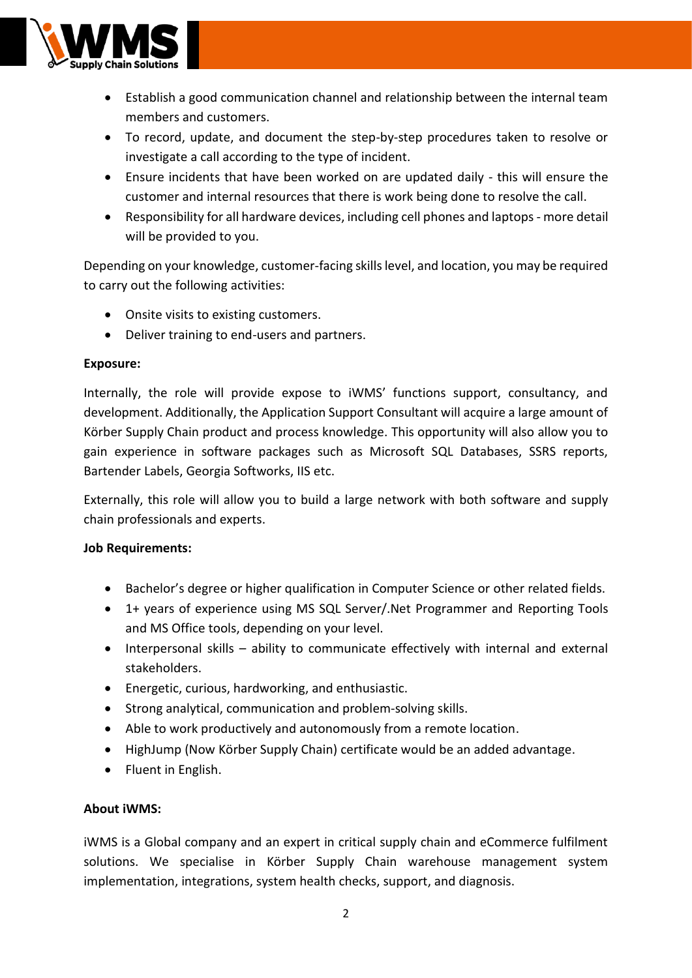

- Establish a good communication channel and relationship between the internal team members and customers.
- To record, update, and document the step-by-step procedures taken to resolve or investigate a call according to the type of incident.
- Ensure incidents that have been worked on are updated daily this will ensure the customer and internal resources that there is work being done to resolve the call.
- Responsibility for all hardware devices, including cell phones and laptops- more detail will be provided to you.

Depending on your knowledge, customer-facing skills level, and location, you may be required to carry out the following activities:

- Onsite visits to existing customers.
- Deliver training to end-users and partners.

## **Exposure:**

Internally, the role will provide expose to iWMS' functions support, consultancy, and development. Additionally, the Application Support Consultant will acquire a large amount of Körber Supply Chain product and process knowledge. This opportunity will also allow you to gain experience in software packages such as Microsoft SQL Databases, SSRS reports, Bartender Labels, Georgia Softworks, IIS etc.

Externally, this role will allow you to build a large network with both software and supply chain professionals and experts.

# **Job Requirements:**

- Bachelor's degree or higher qualification in Computer Science or other related fields.
- 1+ years of experience using MS SQL Server/.Net Programmer and Reporting Tools and MS Office tools, depending on your level.
- Interpersonal skills ability to communicate effectively with internal and external stakeholders.
- Energetic, curious, hardworking, and enthusiastic.
- Strong analytical, communication and problem-solving skills.
- Able to work productively and autonomously from a remote location.
- HighJump (Now Körber Supply Chain) certificate would be an added advantage.
- Fluent in English.

# **About iWMS:**

iWMS is a Global company and an expert in critical supply chain and eCommerce fulfilment solutions. We specialise in Körber Supply Chain warehouse management system implementation, integrations, system health checks, support, and diagnosis.